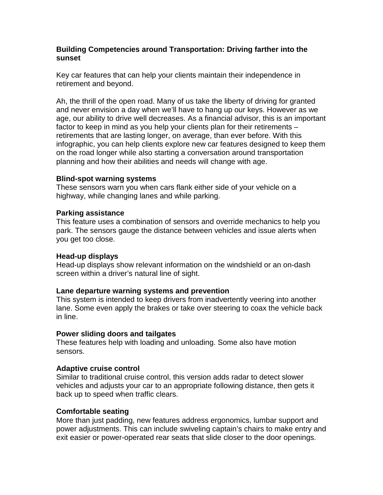# **Building Competencies around Transportation: Driving farther into the sunset**

Key car features that can help your clients maintain their independence in retirement and beyond.

Ah, the thrill of the open road. Many of us take the liberty of driving for granted and never envision a day when we'll have to hang up our keys. However as we age, our ability to drive well decreases. As a financial advisor, this is an important factor to keep in mind as you help your clients plan for their retirements – retirements that are lasting longer, on average, than ever before. With this infographic, you can help clients explore new car features designed to keep them on the road longer while also starting a conversation around transportation planning and how their abilities and needs will change with age.

# **Blind-spot warning systems**

These sensors warn you when cars flank either side of your vehicle on a highway, while changing lanes and while parking.

# **Parking assistance**

This feature uses a combination of sensors and override mechanics to help you park. The sensors gauge the distance between vehicles and issue alerts when you get too close.

## **Head-up displays**

Head-up displays show relevant information on the windshield or an on-dash screen within a driver's natural line of sight.

## **Lane departure warning systems and prevention**

This system is intended to keep drivers from inadvertently veering into another lane. Some even apply the brakes or take over steering to coax the vehicle back in line.

## **Power sliding doors and tailgates**

These features help with loading and unloading. Some also have motion sensors.

## **Adaptive cruise control**

Similar to traditional cruise control, this version adds radar to detect slower vehicles and adjusts your car to an appropriate following distance, then gets it back up to speed when traffic clears.

# **Comfortable seating**

More than just padding, new features address ergonomics, lumbar support and power adjustments. This can include swiveling captain's chairs to make entry and exit easier or power-operated rear seats that slide closer to the door openings.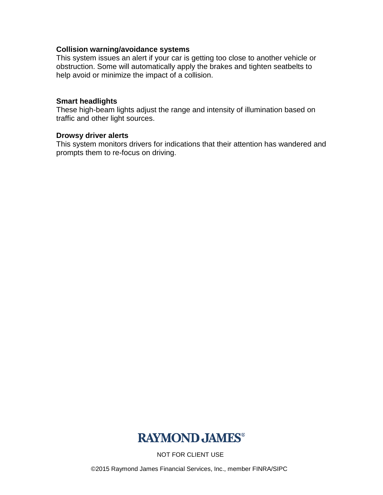## **Collision warning/avoidance systems**

This system issues an alert if your car is getting too close to another vehicle or obstruction. Some will automatically apply the brakes and tighten seatbelts to help avoid or minimize the impact of a collision.

### **Smart headlights**

These high-beam lights adjust the range and intensity of illumination based on traffic and other light sources.

### **Drowsy driver alerts**

This system monitors drivers for indications that their attention has wandered and prompts them to re-focus on driving.



NOT FOR CLIENT USE

©2015 Raymond James Financial Services, Inc., member FINRA/SIPC